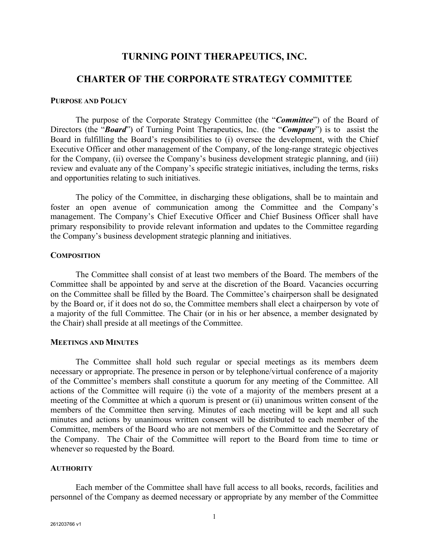# **TURNING POINT THERAPEUTICS, INC.**

# **CHARTER OF THE CORPORATE STRATEGY COMMITTEE**

### **PURPOSE AND POLICY**

The purpose of the Corporate Strategy Committee (the "*Committee*") of the Board of Directors (the "*Board*") of Turning Point Therapeutics, Inc. (the "*Company*") is to assist the Board in fulfilling the Board's responsibilities to (i) oversee the development, with the Chief Executive Officer and other management of the Company, of the long-range strategic objectives for the Company, (ii) oversee the Company's business development strategic planning, and (iii) review and evaluate any of the Company's specific strategic initiatives, including the terms, risks and opportunities relating to such initiatives.

The policy of the Committee, in discharging these obligations, shall be to maintain and foster an open avenue of communication among the Committee and the Company's management. The Company's Chief Executive Officer and Chief Business Officer shall have primary responsibility to provide relevant information and updates to the Committee regarding the Company's business development strategic planning and initiatives.

#### **COMPOSITION**

The Committee shall consist of at least two members of the Board. The members of the Committee shall be appointed by and serve at the discretion of the Board. Vacancies occurring on the Committee shall be filled by the Board. The Committee's chairperson shall be designated by the Board or, if it does not do so, the Committee members shall elect a chairperson by vote of a majority of the full Committee. The Chair (or in his or her absence, a member designated by the Chair) shall preside at all meetings of the Committee.

### **MEETINGS AND MINUTES**

The Committee shall hold such regular or special meetings as its members deem necessary or appropriate. The presence in person or by telephone/virtual conference of a majority of the Committee's members shall constitute a quorum for any meeting of the Committee. All actions of the Committee will require (i) the vote of a majority of the members present at a meeting of the Committee at which a quorum is present or (ii) unanimous written consent of the members of the Committee then serving. Minutes of each meeting will be kept and all such minutes and actions by unanimous written consent will be distributed to each member of the Committee, members of the Board who are not members of the Committee and the Secretary of the Company. The Chair of the Committee will report to the Board from time to time or whenever so requested by the Board.

#### **AUTHORITY**

Each member of the Committee shall have full access to all books, records, facilities and personnel of the Company as deemed necessary or appropriate by any member of the Committee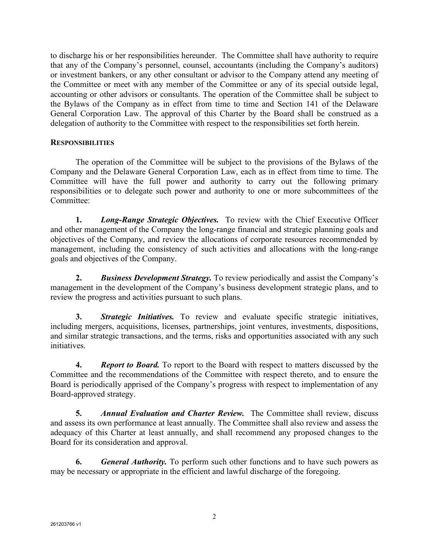to discharge his or her responsibilities hereunder. The Committee shall have authority to require that any of the Company's personnel, counsel, accountants (including the Company's auditors) or investment bankers, or any other consultant or advisor to the Company attend any meeting of the Committee or meet with any member of the Committee or any of its special outside legal, accounting or other advisors or consultants. The operation of the Committee shall be subject to the Bylaws of the Company as in effect from time to time and Section 141 of the Delaware General Corporation Law. The approval of this Charter by the Board shall be construed as a delegation of authority to the Committee with respect to the responsibilities set forth herein.

## **RESPONSIBILITIES**

The operation of the Committee will be subject to the provisions of the Bylaws of the Company and the Delaware General Corporation Law, each as in effect from time to time. The Committee will have the full power and authority to carry out the following primary responsibilities or to delegate such power and authority to one or more subcommittees of the Committee:

**1.** *Long-Range Strategic Objectives.* To review with the Chief Executive Officer and other management of the Company the long-range financial and strategic planning goals and objectives of the Company, and review the allocations of corporate resources recommended by management, including the consistency of such activities and allocations with the long-range goals and objectives of the Company.

**2.** *Business Development Strategy.* To review periodically and assist the Company's management in the development of the Company's business development strategic plans, and to review the progress and activities pursuant to such plans.

**3.** *Strategic Initiatives.* To review and evaluate specific strategic initiatives, including mergers, acquisitions, licenses, partnerships, joint ventures, investments, dispositions, and similar strategic transactions, and the terms, risks and opportunities associated with any such initiatives.

**4.** *Report to Board.* To report to the Board with respect to matters discussed by the Committee and the recommendations of the Committee with respect thereto, and to ensure the Board is periodically apprised of the Company's progress with respect to implementation of any Board-approved strategy.

**5.** *Annual Evaluation and Charter Review.* The Committee shall review, discuss and assess its own performance at least annually. The Committee shall also review and assess the adequacy of this Charter at least annually, and shall recommend any proposed changes to the Board for its consideration and approval.

**6.** *General Authority.* To perform such other functions and to have such powers as may be necessary or appropriate in the efficient and lawful discharge of the foregoing.